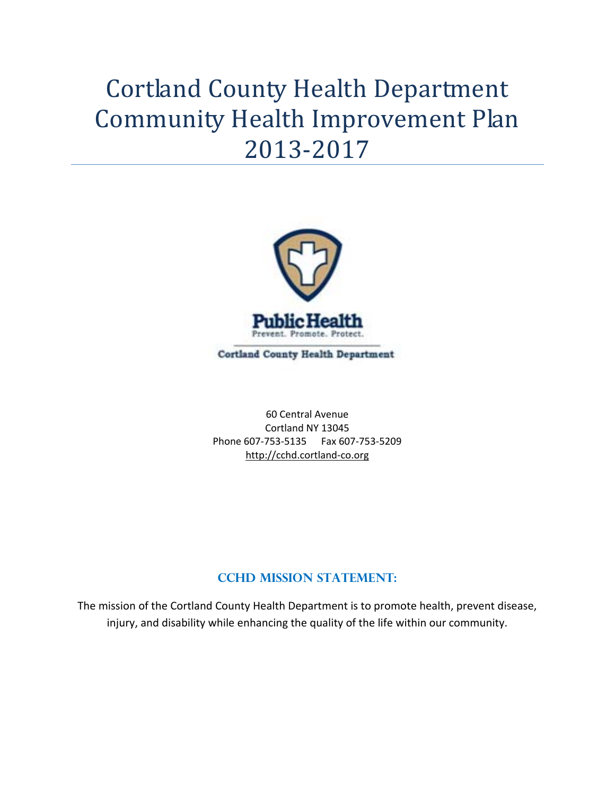# Cortland County Health Department Community Health Improvement Plan 2013‐2017



**Cortland County Health Department** 

60 Central Avenue Cortland NY 13045 Phone 607‐753‐5135 Fax 607‐753‐5209 http://cchd.cortland‐co.org

# **CCHD MISSION STATEMENT:**

The mission of the Cortland County Health Department is to promote health, prevent disease, injury, and disability while enhancing the quality of the life within our community.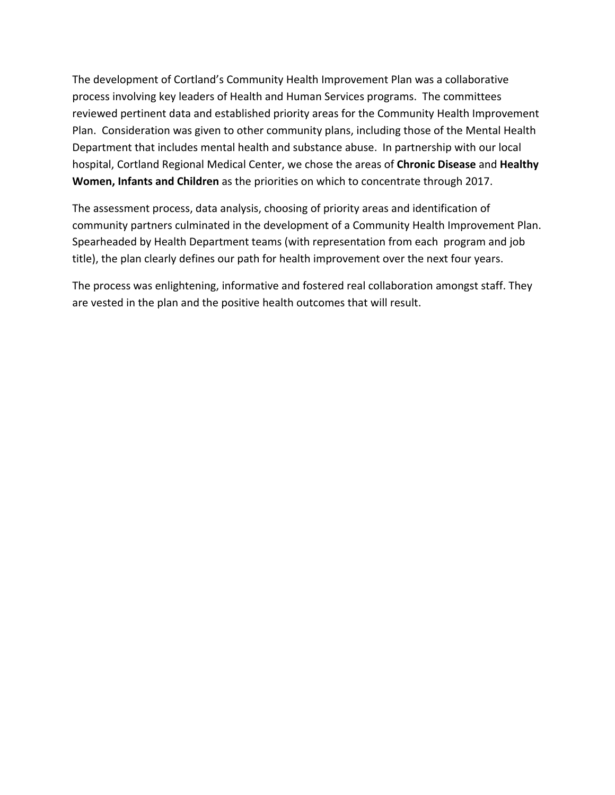The development of Cortland's Community Health Improvement Plan was a collaborative process involving key leaders of Health and Human Services programs. The committees reviewed pertinent data and established priority areas for the Community Health Improvement Plan. Consideration was given to other community plans, including those of the Mental Health Department that includes mental health and substance abuse. In partnership with our local hospital, Cortland Regional Medical Center, we chose the areas of **Chronic Disease** and **Healthy Women, Infants and Children** as the priorities on which to concentrate through 2017.

The assessment process, data analysis, choosing of priority areas and identification of community partners culminated in the development of a Community Health Improvement Plan. Spearheaded by Health Department teams (with representation from each program and job title), the plan clearly defines our path for health improvement over the next four years.

The process was enlightening, informative and fostered real collaboration amongst staff. They are vested in the plan and the positive health outcomes that will result.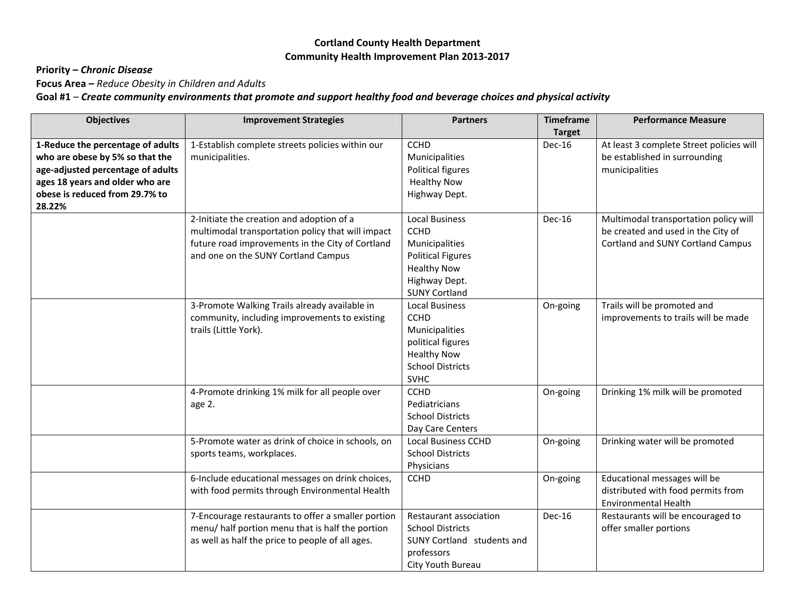## **Cortland County Health Department Community Health Improvement Plan 2013‐2017**

# **Priority –** *Chronic Disease*

**Focus Area –** *Reduce Obesity in Children and Adults*

Goal #1 – Create community environments that promote and support healthy food and beverage choices and physical activity

| <b>Objectives</b>                                                                                                                                                                        | <b>Improvement Strategies</b>                                                                                                                                                             | <b>Partners</b>                                                                                                                                   | <b>Timeframe</b><br><b>Target</b> | <b>Performance Measure</b>                                                                                              |
|------------------------------------------------------------------------------------------------------------------------------------------------------------------------------------------|-------------------------------------------------------------------------------------------------------------------------------------------------------------------------------------------|---------------------------------------------------------------------------------------------------------------------------------------------------|-----------------------------------|-------------------------------------------------------------------------------------------------------------------------|
| 1-Reduce the percentage of adults<br>who are obese by 5% so that the<br>age-adjusted percentage of adults<br>ages 18 years and older who are<br>obese is reduced from 29.7% to<br>28.22% | 1-Establish complete streets policies within our<br>municipalities.                                                                                                                       | <b>CCHD</b><br>Municipalities<br>Political figures<br><b>Healthy Now</b><br>Highway Dept.                                                         | Dec-16                            | At least 3 complete Street policies will<br>be established in surrounding<br>municipalities                             |
|                                                                                                                                                                                          | 2-Initiate the creation and adoption of a<br>multimodal transportation policy that will impact<br>future road improvements in the City of Cortland<br>and one on the SUNY Cortland Campus | <b>Local Business</b><br><b>CCHD</b><br>Municipalities<br><b>Political Figures</b><br><b>Healthy Now</b><br>Highway Dept.<br><b>SUNY Cortland</b> | Dec-16                            | Multimodal transportation policy will<br>be created and used in the City of<br><b>Cortland and SUNY Cortland Campus</b> |
|                                                                                                                                                                                          | 3-Promote Walking Trails already available in<br>community, including improvements to existing<br>trails (Little York).                                                                   | <b>Local Business</b><br><b>CCHD</b><br>Municipalities<br>political figures<br><b>Healthy Now</b><br><b>School Districts</b><br><b>SVHC</b>       | On-going                          | Trails will be promoted and<br>improvements to trails will be made                                                      |
|                                                                                                                                                                                          | 4-Promote drinking 1% milk for all people over<br>age 2.                                                                                                                                  | <b>CCHD</b><br>Pediatricians<br><b>School Districts</b><br>Day Care Centers                                                                       | On-going                          | Drinking 1% milk will be promoted                                                                                       |
|                                                                                                                                                                                          | 5-Promote water as drink of choice in schools, on<br>sports teams, workplaces.                                                                                                            | <b>Local Business CCHD</b><br><b>School Districts</b><br>Physicians                                                                               | On-going                          | Drinking water will be promoted                                                                                         |
|                                                                                                                                                                                          | 6-Include educational messages on drink choices,<br>with food permits through Environmental Health                                                                                        | <b>CCHD</b>                                                                                                                                       | On-going                          | Educational messages will be<br>distributed with food permits from<br><b>Environmental Health</b>                       |
|                                                                                                                                                                                          | 7-Encourage restaurants to offer a smaller portion<br>menu/ half portion menu that is half the portion<br>as well as half the price to people of all ages.                                | Restaurant association<br><b>School Districts</b><br><b>SUNY Cortland students and</b><br>professors<br>City Youth Bureau                         | Dec-16                            | Restaurants will be encouraged to<br>offer smaller portions                                                             |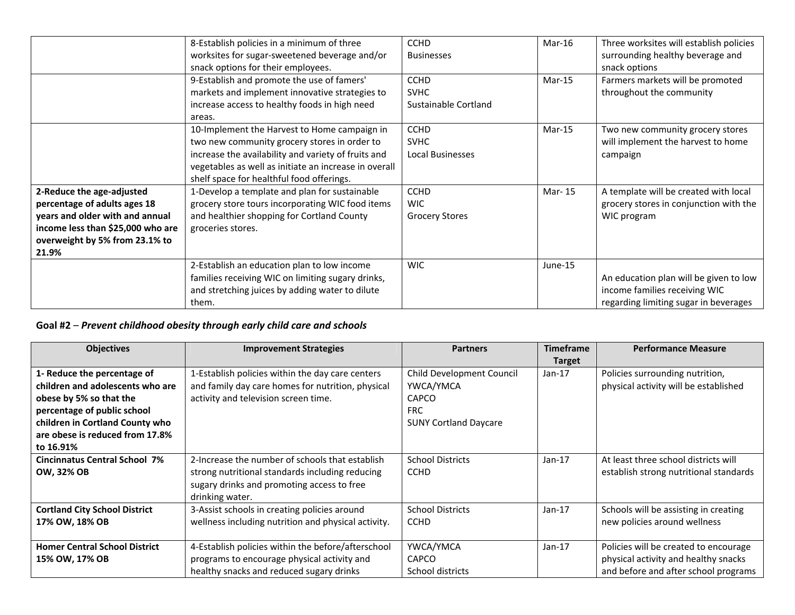|                                                                                                                                                                              | 8-Establish policies in a minimum of three<br>worksites for sugar-sweetened beverage and/or<br>snack options for their employees.<br>9-Establish and promote the use of famers'                                                                           | <b>CCHD</b><br><b>Businesses</b><br><b>CCHD</b>       | Mar-16<br>$Mar-15$ | Three worksites will establish policies<br>surrounding healthy beverage and<br>snack options<br>Farmers markets will be promoted |
|------------------------------------------------------------------------------------------------------------------------------------------------------------------------------|-----------------------------------------------------------------------------------------------------------------------------------------------------------------------------------------------------------------------------------------------------------|-------------------------------------------------------|--------------------|----------------------------------------------------------------------------------------------------------------------------------|
|                                                                                                                                                                              | markets and implement innovative strategies to<br>increase access to healthy foods in high need<br>areas.                                                                                                                                                 | <b>SVHC</b><br>Sustainable Cortland                   |                    | throughout the community                                                                                                         |
|                                                                                                                                                                              | 10-Implement the Harvest to Home campaign in<br>two new community grocery stores in order to<br>increase the availability and variety of fruits and<br>vegetables as well as initiate an increase in overall<br>shelf space for healthful food offerings. | <b>CCHD</b><br><b>SVHC</b><br><b>Local Businesses</b> | $Mar-15$           | Two new community grocery stores<br>will implement the harvest to home<br>campaign                                               |
| 2-Reduce the age-adjusted<br>percentage of adults ages 18<br>years and older with and annual<br>income less than \$25,000 who are<br>overweight by 5% from 23.1% to<br>21.9% | 1-Develop a template and plan for sustainable<br>grocery store tours incorporating WIC food items<br>and healthier shopping for Cortland County<br>groceries stores.                                                                                      | <b>CCHD</b><br><b>WIC</b><br><b>Grocery Stores</b>    | Mar-15             | A template will be created with local<br>grocery stores in conjunction with the<br>WIC program                                   |
|                                                                                                                                                                              | 2-Establish an education plan to low income<br>families receiving WIC on limiting sugary drinks,<br>and stretching juices by adding water to dilute<br>them.                                                                                              | <b>WIC</b>                                            | June-15            | An education plan will be given to low<br>income families receiving WIC<br>regarding limiting sugar in beverages                 |

#### **Goal #2** – *Prevent childhood obesity through early child care and schools*

| <b>Objectives</b>                    | <b>Improvement Strategies</b>                       | <b>Partners</b>              | <b>Timeframe</b> | <b>Performance Measure</b>             |
|--------------------------------------|-----------------------------------------------------|------------------------------|------------------|----------------------------------------|
|                                      |                                                     |                              | <b>Target</b>    |                                        |
| 1- Reduce the percentage of          | 1-Establish policies within the day care centers    | Child Development Council    | $Jan-17$         | Policies surrounding nutrition,        |
| children and adolescents who are     | and family day care homes for nutrition, physical   | YWCA/YMCA                    |                  | physical activity will be established  |
| obese by 5% so that the              | activity and television screen time.                | <b>CAPCO</b>                 |                  |                                        |
| percentage of public school          |                                                     | <b>FRC</b>                   |                  |                                        |
| children in Cortland County who      |                                                     | <b>SUNY Cortland Daycare</b> |                  |                                        |
| are obese is reduced from 17.8%      |                                                     |                              |                  |                                        |
| to 16.91%                            |                                                     |                              |                  |                                        |
| <b>Cincinnatus Central School 7%</b> | 2-Increase the number of schools that establish     | <b>School Districts</b>      | $Jan-17$         | At least three school districts will   |
| <b>OW, 32% OB</b>                    | strong nutritional standards including reducing     | <b>CCHD</b>                  |                  | establish strong nutritional standards |
|                                      | sugary drinks and promoting access to free          |                              |                  |                                        |
|                                      | drinking water.                                     |                              |                  |                                        |
| <b>Cortland City School District</b> | 3-Assist schools in creating policies around        | <b>School Districts</b>      | $Jan-17$         | Schools will be assisting in creating  |
| 17% OW, 18% OB                       | wellness including nutrition and physical activity. | <b>CCHD</b>                  |                  | new policies around wellness           |
|                                      |                                                     |                              |                  |                                        |
| <b>Homer Central School District</b> | 4-Establish policies within the before/afterschool  | YWCA/YMCA                    | $Jan-17$         | Policies will be created to encourage  |
| 15% OW, 17% OB                       | programs to encourage physical activity and         | <b>CAPCO</b>                 |                  | physical activity and healthy snacks   |
|                                      | healthy snacks and reduced sugary drinks            | School districts             |                  | and before and after school programs   |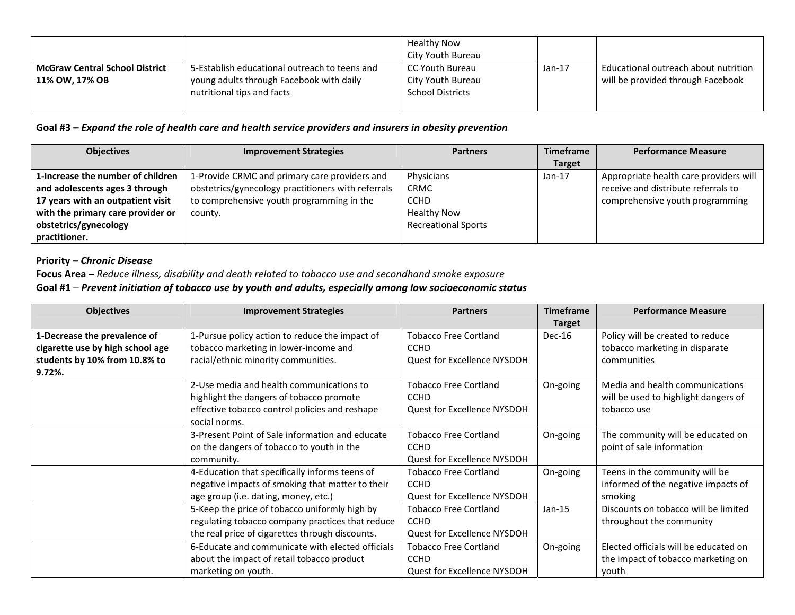|                                                         |                                                                                                                         | Healthy Now<br>City Youth Bureau                                  |          |                                                                           |
|---------------------------------------------------------|-------------------------------------------------------------------------------------------------------------------------|-------------------------------------------------------------------|----------|---------------------------------------------------------------------------|
| <b>McGraw Central School District</b><br>11% OW, 17% OB | 5-Establish educational outreach to teens and<br>young adults through Facebook with daily<br>nutritional tips and facts | l CC Youth Bureau<br>City Youth Bureau<br><b>School Districts</b> | $Jan-17$ | Educational outreach about nutrition<br>will be provided through Facebook |

#### Goal #3 – Expand the role of health care and health service providers and insurers in obesity prevention

| <b>Objectives</b>                 | <b>Improvement Strategies</b>                      | <b>Partners</b>            | <b>Timeframe</b> | <b>Performance Measure</b>             |
|-----------------------------------|----------------------------------------------------|----------------------------|------------------|----------------------------------------|
|                                   |                                                    |                            | <b>Target</b>    |                                        |
| 1-Increase the number of children | 1-Provide CRMC and primary care providers and      | Physicians                 | $Jan-17$         | Appropriate health care providers will |
| and adolescents ages 3 through    | obstetrics/gynecology practitioners with referrals | <b>CRMC</b>                |                  | receive and distribute referrals to    |
| 17 years with an outpatient visit | to comprehensive youth programming in the          | <b>CCHD</b>                |                  | comprehensive youth programming        |
| with the primary care provider or | county.                                            | <b>Healthy Now</b>         |                  |                                        |
| obstetrics/gynecology             |                                                    | <b>Recreational Sports</b> |                  |                                        |
| practitioner.                     |                                                    |                            |                  |                                        |

## **Priority –** *Chronic Disease*

**Focus Area –** *Reduce illness, disability and death related to tobacco use and secondhand smoke exposure*

#### **Goal #1** – *Prevent initiation of tobacco use by youth and adults, especially among low socioeconomic status*

| <b>Objectives</b>                | <b>Improvement Strategies</b>                    | <b>Partners</b>                    | <b>Timeframe</b> | <b>Performance Measure</b>            |
|----------------------------------|--------------------------------------------------|------------------------------------|------------------|---------------------------------------|
|                                  |                                                  |                                    | <b>Target</b>    |                                       |
| 1-Decrease the prevalence of     | 1-Pursue policy action to reduce the impact of   | <b>Tobacco Free Cortland</b>       | Dec-16           | Policy will be created to reduce      |
| cigarette use by high school age | tobacco marketing in lower-income and            | <b>CCHD</b>                        |                  | tobacco marketing in disparate        |
| students by 10% from 10.8% to    | racial/ethnic minority communities.              | Quest for Excellence NYSDOH        |                  | communities                           |
| 9.72%.                           |                                                  |                                    |                  |                                       |
|                                  | 2-Use media and health communications to         | <b>Tobacco Free Cortland</b>       | On-going         | Media and health communications       |
|                                  | highlight the dangers of tobacco promote         | <b>CCHD</b>                        |                  | will be used to highlight dangers of  |
|                                  | effective tobacco control policies and reshape   | Quest for Excellence NYSDOH        |                  | tobacco use                           |
|                                  | social norms.                                    |                                    |                  |                                       |
|                                  | 3-Present Point of Sale information and educate  | <b>Tobacco Free Cortland</b>       | On-going         | The community will be educated on     |
|                                  | on the dangers of tobacco to youth in the        | <b>CCHD</b>                        |                  | point of sale information             |
|                                  | community.                                       | <b>Quest for Excellence NYSDOH</b> |                  |                                       |
|                                  | 4-Education that specifically informs teens of   | <b>Tobacco Free Cortland</b>       | On-going         | Teens in the community will be        |
|                                  | negative impacts of smoking that matter to their | <b>CCHD</b>                        |                  | informed of the negative impacts of   |
|                                  | age group (i.e. dating, money, etc.)             | Quest for Excellence NYSDOH        |                  | smoking                               |
|                                  | 5-Keep the price of tobacco uniformly high by    | <b>Tobacco Free Cortland</b>       | $Jan-15$         | Discounts on tobacco will be limited  |
|                                  | regulating tobacco company practices that reduce | <b>CCHD</b>                        |                  | throughout the community              |
|                                  | the real price of cigarettes through discounts.  | Quest for Excellence NYSDOH        |                  |                                       |
|                                  | 6-Educate and communicate with elected officials | Tobacco Free Cortland              | On-going         | Elected officials will be educated on |
|                                  | about the impact of retail tobacco product       | <b>CCHD</b>                        |                  | the impact of tobacco marketing on    |
|                                  | marketing on youth.                              | Quest for Excellence NYSDOH        |                  | youth                                 |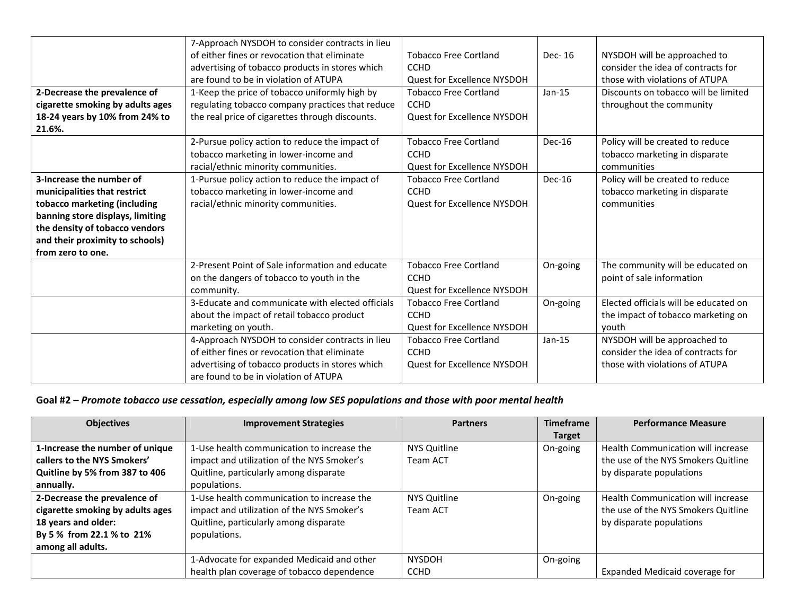|                                  | 7-Approach NYSDOH to consider contracts in lieu  |                                    |          |                                       |
|----------------------------------|--------------------------------------------------|------------------------------------|----------|---------------------------------------|
|                                  | of either fines or revocation that eliminate     | <b>Tobacco Free Cortland</b>       | Dec-16   | NYSDOH will be approached to          |
|                                  | advertising of tobacco products in stores which  | <b>CCHD</b>                        |          | consider the idea of contracts for    |
|                                  | are found to be in violation of ATUPA            | Quest for Excellence NYSDOH        |          | those with violations of ATUPA        |
| 2-Decrease the prevalence of     | 1-Keep the price of tobacco uniformly high by    | <b>Tobacco Free Cortland</b>       | $Jan-15$ | Discounts on tobacco will be limited  |
| cigarette smoking by adults ages | regulating tobacco company practices that reduce | <b>CCHD</b>                        |          | throughout the community              |
| 18-24 years by 10% from 24% to   | the real price of cigarettes through discounts.  | <b>Quest for Excellence NYSDOH</b> |          |                                       |
| 21.6%.                           |                                                  |                                    |          |                                       |
|                                  | 2-Pursue policy action to reduce the impact of   | <b>Tobacco Free Cortland</b>       | Dec-16   | Policy will be created to reduce      |
|                                  | tobacco marketing in lower-income and            | <b>CCHD</b>                        |          | tobacco marketing in disparate        |
|                                  | racial/ethnic minority communities.              | <b>Ouest for Excellence NYSDOH</b> |          | communities                           |
| 3-Increase the number of         | 1-Pursue policy action to reduce the impact of   | <b>Tobacco Free Cortland</b>       | $Dec-16$ | Policy will be created to reduce      |
| municipalities that restrict     | tobacco marketing in lower-income and            | <b>CCHD</b>                        |          | tobacco marketing in disparate        |
| tobacco marketing (including     | racial/ethnic minority communities.              | Quest for Excellence NYSDOH        |          | communities                           |
| banning store displays, limiting |                                                  |                                    |          |                                       |
| the density of tobacco vendors   |                                                  |                                    |          |                                       |
| and their proximity to schools)  |                                                  |                                    |          |                                       |
| from zero to one.                |                                                  |                                    |          |                                       |
|                                  | 2-Present Point of Sale information and educate  | <b>Tobacco Free Cortland</b>       | On-going | The community will be educated on     |
|                                  | on the dangers of tobacco to youth in the        | <b>CCHD</b>                        |          | point of sale information             |
|                                  | community.                                       | Quest for Excellence NYSDOH        |          |                                       |
|                                  | 3-Educate and communicate with elected officials | <b>Tobacco Free Cortland</b>       | On-going | Elected officials will be educated on |
|                                  | about the impact of retail tobacco product       | <b>CCHD</b>                        |          | the impact of tobacco marketing on    |
|                                  | marketing on youth.                              | Quest for Excellence NYSDOH        |          | vouth                                 |
|                                  | 4-Approach NYSDOH to consider contracts in lieu  | <b>Tobacco Free Cortland</b>       | $Jan-15$ | NYSDOH will be approached to          |
|                                  | of either fines or revocation that eliminate     | <b>CCHD</b>                        |          | consider the idea of contracts for    |
|                                  | advertising of tobacco products in stores which  | <b>Quest for Excellence NYSDOH</b> |          | those with violations of ATUPA        |
|                                  | are found to be in violation of ATUPA            |                                    |          |                                       |

#### Goal #2 – Promote tobacco use cessation, especially among low SES populations and those with poor mental health

| <b>Objectives</b>                | <b>Improvement Strategies</b>              | <b>Partners</b>     | <b>Timeframe</b> | <b>Performance Measure</b>          |
|----------------------------------|--------------------------------------------|---------------------|------------------|-------------------------------------|
|                                  |                                            |                     | <b>Target</b>    |                                     |
| 1-Increase the number of unique  | 1-Use health communication to increase the | NYS Quitline        | On-going         | Health Communication will increase  |
| callers to the NYS Smokers'      | impact and utilization of the NYS Smoker's | <b>Team ACT</b>     |                  | the use of the NYS Smokers Quitline |
| Quitline by 5% from 387 to 406   | Quitline, particularly among disparate     |                     |                  | by disparate populations            |
| annually.                        | populations.                               |                     |                  |                                     |
| 2-Decrease the prevalence of     | 1-Use health communication to increase the | <b>NYS Quitline</b> | On-going         | Health Communication will increase  |
| cigarette smoking by adults ages | impact and utilization of the NYS Smoker's | <b>Team ACT</b>     |                  | the use of the NYS Smokers Quitline |
| 18 years and older:              | Quitline, particularly among disparate     |                     |                  | by disparate populations            |
| By 5 % from 22.1 % to 21%        | populations.                               |                     |                  |                                     |
| among all adults.                |                                            |                     |                  |                                     |
|                                  | 1-Advocate for expanded Medicaid and other | <b>NYSDOH</b>       | On-going         |                                     |
|                                  | health plan coverage of tobacco dependence | <b>CCHD</b>         |                  | Expanded Medicaid coverage for      |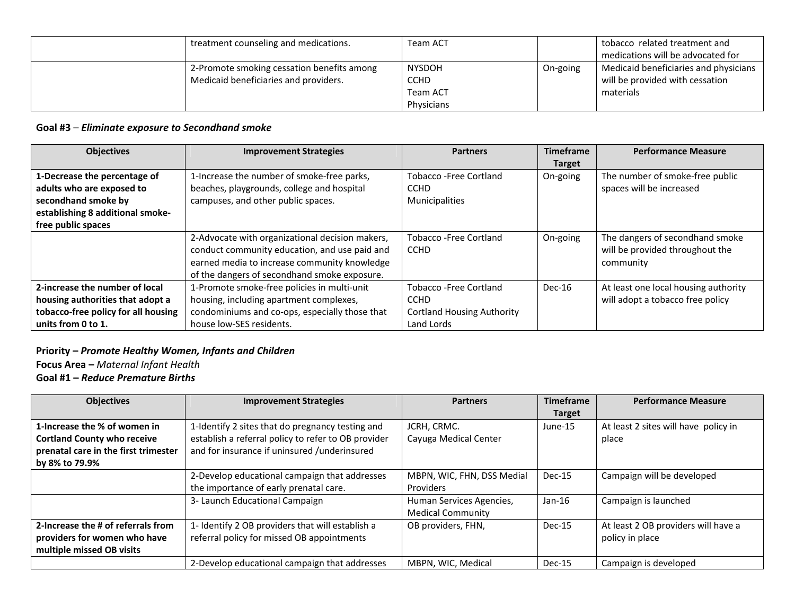| treatment counseling and medications.                                               | Team ACT                                               |          | tobacco related treatment and<br>medications will be advocated for                    |
|-------------------------------------------------------------------------------------|--------------------------------------------------------|----------|---------------------------------------------------------------------------------------|
| 2-Promote smoking cessation benefits among<br>Medicaid beneficiaries and providers. | <b>NYSDOH</b><br><b>CCHD</b><br>Team ACT<br>Physicians | On-going | Medicaid beneficiaries and physicians<br>will be provided with cessation<br>materials |

#### **Goal #3** – *Eliminate exposure to Secondhand smoke*

| <b>Objectives</b>                   | <b>Improvement Strategies</b>                   | <b>Partners</b>                   | <b>Timeframe</b> | <b>Performance Measure</b>           |
|-------------------------------------|-------------------------------------------------|-----------------------------------|------------------|--------------------------------------|
|                                     |                                                 |                                   | <b>Target</b>    |                                      |
| 1-Decrease the percentage of        | 1-Increase the number of smoke-free parks,      | <b>Tobacco-Free Cortland</b>      | On-going         | The number of smoke-free public      |
| adults who are exposed to           | beaches, playgrounds, college and hospital      | <b>CCHD</b>                       |                  | spaces will be increased             |
| secondhand smoke by                 | campuses, and other public spaces.              | <b>Municipalities</b>             |                  |                                      |
| establishing 8 additional smoke-    |                                                 |                                   |                  |                                      |
| free public spaces                  |                                                 |                                   |                  |                                      |
|                                     | 2-Advocate with organizational decision makers, | <b>Tobacco -Free Cortland</b>     | On-going         | The dangers of secondhand smoke      |
|                                     | conduct community education, and use paid and   | <b>CCHD</b>                       |                  | will be provided throughout the      |
|                                     | earned media to increase community knowledge    |                                   |                  | community                            |
|                                     | of the dangers of secondhand smoke exposure.    |                                   |                  |                                      |
| 2-increase the number of local      | 1-Promote smoke-free policies in multi-unit     | <b>Tobacco -Free Cortland</b>     | Dec-16           | At least one local housing authority |
| housing authorities that adopt a    | housing, including apartment complexes,         | <b>CCHD</b>                       |                  | will adopt a tobacco free policy     |
| tobacco-free policy for all housing | condominiums and co-ops, especially those that  | <b>Cortland Housing Authority</b> |                  |                                      |
| units from 0 to 1.                  | house low-SES residents.                        | Land Lords                        |                  |                                      |

# **Priority –** *Promote Healthy Women, Infants and Children*

**Focus Area –** *Maternal Infant Health*

**Goal #1 –** *Reduce Premature Births*

| <b>Objectives</b>                    | <b>Improvement Strategies</b>                       | <b>Partners</b>            | <b>Timeframe</b> | <b>Performance Measure</b>           |
|--------------------------------------|-----------------------------------------------------|----------------------------|------------------|--------------------------------------|
|                                      |                                                     |                            | <b>Target</b>    |                                      |
| 1-Increase the % of women in         | 1-Identify 2 sites that do pregnancy testing and    | JCRH, CRMC.                | June-15          | At least 2 sites will have policy in |
| <b>Cortland County who receive</b>   | establish a referral policy to refer to OB provider | Cayuga Medical Center      |                  | place                                |
| prenatal care in the first trimester | and for insurance if uninsured /underinsured        |                            |                  |                                      |
| by 8% to 79.9%                       |                                                     |                            |                  |                                      |
|                                      | 2-Develop educational campaign that addresses       | MBPN, WIC, FHN, DSS Medial | Dec-15           | Campaign will be developed           |
|                                      | the importance of early prenatal care.              | <b>Providers</b>           |                  |                                      |
|                                      | 3- Launch Educational Campaign                      | Human Services Agencies,   | $Jan-16$         | Campaign is launched                 |
|                                      |                                                     | <b>Medical Community</b>   |                  |                                      |
| 2-Increase the # of referrals from   | 1- Identify 2 OB providers that will establish a    | OB providers, FHN,         | Dec-15           | At least 2 OB providers will have a  |
| providers for women who have         | referral policy for missed OB appointments          |                            |                  | policy in place                      |
| multiple missed OB visits            |                                                     |                            |                  |                                      |
|                                      | 2-Develop educational campaign that addresses       | MBPN, WIC, Medical         | Dec-15           | Campaign is developed                |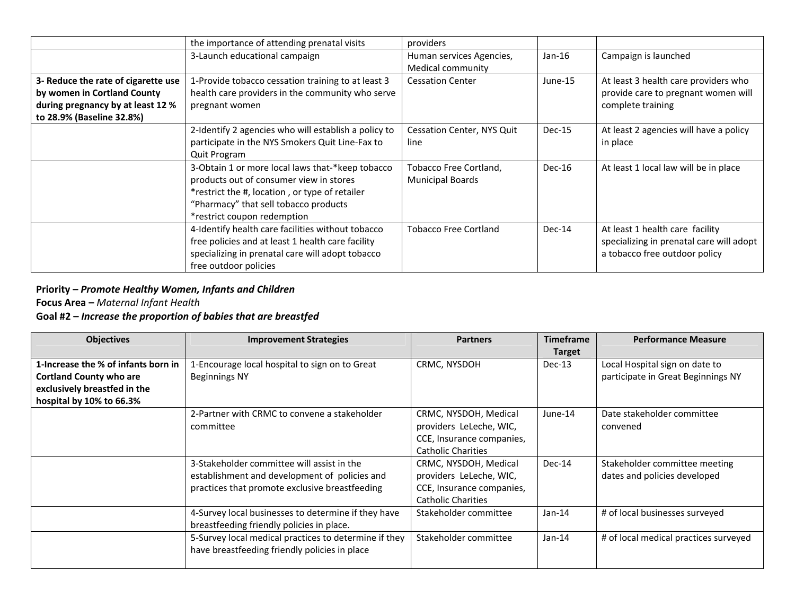|                                                                                                                                      | the importance of attending prenatal visits                                                                                                                                                                           | providers                                         |          |                                                                                                              |
|--------------------------------------------------------------------------------------------------------------------------------------|-----------------------------------------------------------------------------------------------------------------------------------------------------------------------------------------------------------------------|---------------------------------------------------|----------|--------------------------------------------------------------------------------------------------------------|
|                                                                                                                                      | 3-Launch educational campaign                                                                                                                                                                                         | Human services Agencies,<br>Medical community     | $Jan-16$ | Campaign is launched                                                                                         |
| 3- Reduce the rate of cigarette use<br>by women in Cortland County<br>during pregnancy by at least 12 %<br>to 28.9% (Baseline 32.8%) | 1-Provide tobacco cessation training to at least 3<br>health care providers in the community who serve<br>pregnant women                                                                                              | <b>Cessation Center</b>                           | June-15  | At least 3 health care providers who<br>provide care to pregnant women will<br>complete training             |
|                                                                                                                                      | 2-Identify 2 agencies who will establish a policy to<br>participate in the NYS Smokers Quit Line-Fax to<br>Quit Program                                                                                               | Cessation Center, NYS Quit<br>line                | Dec-15   | At least 2 agencies will have a policy<br>in place                                                           |
|                                                                                                                                      | 3-Obtain 1 or more local laws that-*keep tobacco<br>products out of consumer view in stores<br>*restrict the #, location, or type of retailer<br>"Pharmacy" that sell tobacco products<br>*restrict coupon redemption | Tobacco Free Cortland,<br><b>Municipal Boards</b> | Dec-16   | At least 1 local law will be in place                                                                        |
|                                                                                                                                      | 4-Identify health care facilities without tobacco<br>free policies and at least 1 health care facility<br>specializing in prenatal care will adopt tobacco<br>free outdoor policies                                   | <b>Tobacco Free Cortland</b>                      | Dec-14   | At least 1 health care facility<br>specializing in prenatal care will adopt<br>a tobacco free outdoor policy |

# **Priority –** *Promote Healthy Women, Infants and Children*

**Focus Area –** *Maternal Infant Health*

#### **Goal #2 –** *Increase the proportion of babies that are breastfed*

| <b>Objectives</b>                   | <b>Improvement Strategies</b>                         | <b>Partners</b>           | <b>Timeframe</b> | <b>Performance Measure</b>            |
|-------------------------------------|-------------------------------------------------------|---------------------------|------------------|---------------------------------------|
|                                     |                                                       |                           | <b>Target</b>    |                                       |
| 1-Increase the % of infants born in | 1-Encourage local hospital to sign on to Great        | CRMC, NYSDOH              | $Dec-13$         | Local Hospital sign on date to        |
| <b>Cortland County who are</b>      | <b>Beginnings NY</b>                                  |                           |                  | participate in Great Beginnings NY    |
| exclusively breastfed in the        |                                                       |                           |                  |                                       |
| hospital by 10% to 66.3%            |                                                       |                           |                  |                                       |
|                                     | 2-Partner with CRMC to convene a stakeholder          | CRMC, NYSDOH, Medical     | June-14          | Date stakeholder committee            |
|                                     | committee                                             | providers LeLeche, WIC,   |                  | convened                              |
|                                     |                                                       | CCE, Insurance companies, |                  |                                       |
|                                     |                                                       | <b>Catholic Charities</b> |                  |                                       |
|                                     | 3-Stakeholder committee will assist in the            | CRMC, NYSDOH, Medical     | Dec-14           | Stakeholder committee meeting         |
|                                     | establishment and development of policies and         | providers LeLeche, WIC,   |                  | dates and policies developed          |
|                                     | practices that promote exclusive breastfeeding        | CCE, Insurance companies, |                  |                                       |
|                                     |                                                       | <b>Catholic Charities</b> |                  |                                       |
|                                     | 4-Survey local businesses to determine if they have   | Stakeholder committee     | Jan-14           | # of local businesses surveyed        |
|                                     | breastfeeding friendly policies in place.             |                           |                  |                                       |
|                                     | 5-Survey local medical practices to determine if they | Stakeholder committee     | Jan-14           | # of local medical practices surveyed |
|                                     | have breastfeeding friendly policies in place         |                           |                  |                                       |
|                                     |                                                       |                           |                  |                                       |